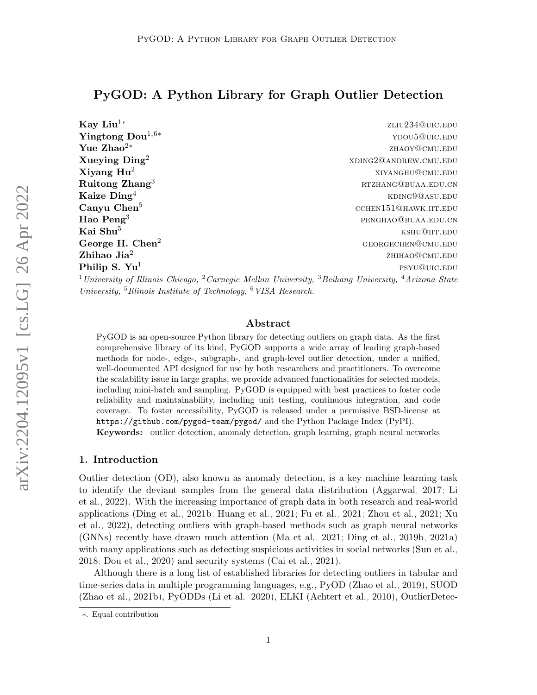# PyGOD: A Python Library for Graph Outlier Detection

| Kay Liu $^{1*}$              | ZLIU234@UIC.EDU                                                                                                                                   |
|------------------------------|---------------------------------------------------------------------------------------------------------------------------------------------------|
| Yingtong $\text{Dou}^{1,6*}$ | YDOU5@UIC.EDU                                                                                                                                     |
| Yue Zhao <sup>2*</sup>       | ZHAOY@CMU.EDU                                                                                                                                     |
| Xueying $\rm{Ding^2}$        | XDING2@ANDREW.CMU.EDU                                                                                                                             |
| $X$ iyang $Hu^2$             | XIYANGHU@CMU.EDU                                                                                                                                  |
| $\rm Ruitong\ Zhang^3$       | RTZHANG@BUAA.EDU.CN                                                                                                                               |
| Kaize $\mathbf{Ding}^4$      | KDING9@ASU.EDU                                                                                                                                    |
| Canyu Chen <sup>5</sup>      | CCHEN151@HAWK.IIT.EDU                                                                                                                             |
| Hao Peng <sup>3</sup>        | PENGHAO@BUAA.EDU.CN                                                                                                                               |
| Kai Shu $^5\,$               | KSHU@IIT.EDU                                                                                                                                      |
| George H. $Chen2$            | GEORGECHEN@CMU.EDU                                                                                                                                |
| ${\bf Zh}$ ihao Jia $^2$     | ZHIHAO@CMU.EDU                                                                                                                                    |
| Philip S. $\mathbf{Yu}^1$    | PSYU@UIC.EDU                                                                                                                                      |
|                              | <sup>1</sup> University of Illinois Chicago, <sup>2</sup> Carnegie Mellon University, <sup>3</sup> Beihang University, <sup>4</sup> Arizona State |

University, <sup>5</sup> Illinois Institute of Technology, <sup>6</sup> VISA Research.

## Abstract

PyGOD is an open-source Python library for detecting outliers on graph data. As the first comprehensive library of its kind, PyGOD supports a wide array of leading graph-based methods for node-, edge-, subgraph-, and graph-level outlier detection, under a unified, well-documented API designed for use by both researchers and practitioners. To overcome the scalability issue in large graphs, we provide advanced functionalities for selected models, including mini-batch and sampling. PyGOD is equipped with best practices to foster code reliability and maintainability, including unit testing, continuous integration, and code coverage. To foster accessibility, PyGOD is released under a permissive BSD-license at <https://github.com/pygod-team/pygod/> and the Python Package Index (PyPI).

Keywords: outlier detection, anomaly detection, graph learning, graph neural networks

### 1. Introduction

Outlier detection (OD), also known as anomaly detection, is a key machine learning task to identify the deviant samples from the general data distribution [\(Aggarwal, 2017;](#page-4-0) [Li](#page-5-0) [et al., 2022\)](#page-5-0). With the increasing importance of graph data in both research and real-world applications [\(Ding et al., 2021b;](#page-4-1) [Huang et al., 2021;](#page-5-1) [Fu et al., 2021;](#page-5-2) [Zhou et al., 2021;](#page-7-0) [Xu](#page-6-0) [et al., 2022\)](#page-6-0), detecting outliers with graph-based methods such as graph neural networks (GNNs) recently have drawn much attention [\(Ma et al., 2021;](#page-5-3) [Ding et al., 2019b,](#page-4-2) [2021a\)](#page-4-3) with many applications such as detecting suspicious activities in social networks [\(Sun et al.,](#page-6-1) [2018;](#page-6-1) [Dou et al., 2020\)](#page-4-4) and security systems [\(Cai et al., 2021\)](#page-4-5).

Although there is a long list of established libraries for detecting outliers in tabular and time-series data in multiple programming languages, e.g., PyOD [\(Zhao et al., 2019\)](#page-6-2), SUOD [\(Zhao et al., 2021b\)](#page-6-3), PyODDs [\(Li et al., 2020\)](#page-5-4), ELKI [\(Achtert et al., 2010\)](#page-4-6), OutlierDetec-

<sup>∗</sup>. Equal contribution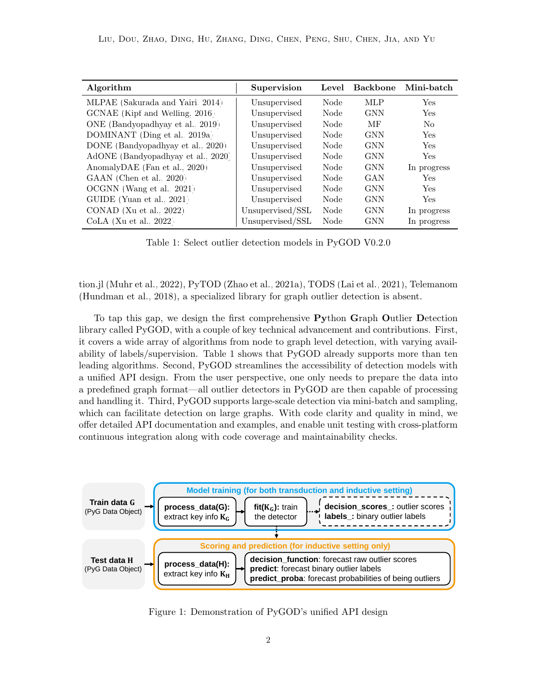| Algorithm                          | Supervision      | Level | <b>Backbone</b> | Mini-batch     |
|------------------------------------|------------------|-------|-----------------|----------------|
| MLPAE (Sakurada and Yairi, 2014)   | Unsupervised     | Node  | <b>MLP</b>      | <b>Yes</b>     |
| GCNAE (Kipf and Welling, 2016)     | Unsupervised     | Node  | <b>GNN</b>      | Yes            |
| ONE (Bandyopadhyay et al., 2019)   | Unsupervised     | Node  | MF              | N <sub>o</sub> |
| DOMINANT (Ding et al., 2019a)      | Unsupervised     | Node  | <b>GNN</b>      | <b>Yes</b>     |
| DONE (Bandyopadhyay et al., 2020)  | Unsupervised     | Node  | <b>GNN</b>      | <b>Yes</b>     |
| AdONE (Bandyopadhyay et al., 2020) | Unsupervised     | Node  | <b>GNN</b>      | <b>Yes</b>     |
| AnomalyDAE (Fan et al., 2020)      | Unsupervised     | Node  | <b>GNN</b>      | In progress    |
| GAAN (Chen et al., 2020)           | Unsupervised     | Node  | GAN             | <b>Yes</b>     |
| OCGNN (Wang et al., 2021)          | Unsupervised     | Node  | <b>GNN</b>      | <b>Yes</b>     |
| GUIDE (Yuan et al., 2021)          | Unsupervised     | Node  | <b>GNN</b>      | <b>Yes</b>     |
| CONAD (Xu et al., $2022$ )         | Unsupervised/SSL | Node  | <b>GNN</b>      | In progress    |
| $CoLA$ (Xu et al., 2022)           | Unsupervised/SSL | Node  | GNN             | In progress    |

<span id="page-1-0"></span>Table 1: Select outlier detection models in PyGOD V0.2.0

tion.jl [\(Muhr et al., 2022\)](#page-6-7), PyTOD [\(Zhao et al., 2021a\)](#page-6-8), TODS [\(Lai et al., 2021\)](#page-5-6), Telemanom [\(Hundman et al., 2018\)](#page-5-7), a specialized library for graph outlier detection is absent.

To tap this gap, we design the first comprehensive Python Graph Outlier Detection library called PyGOD, with a couple of key technical advancement and contributions. First, it covers a wide array of algorithms from node to graph level detection, with varying availability of labels/supervision. Table [1](#page-1-0) shows that PyGOD already supports more than ten leading algorithms. Second, PyGOD streamlines the accessibility of detection models with a unified API design. From the user perspective, one only needs to prepare the data into a predefined graph format—all outlier detectors in PyGOD are then capable of processing and handling it. Third, PyGOD supports large-scale detection via mini-batch and sampling, which can facilitate detection on large graphs. With code clarity and quality in mind, we offer detailed API documentation and examples, and enable unit testing with cross-platform continuous integration along with code coverage and maintainability checks.



Figure 1: Demonstration of PyGOD's unified API design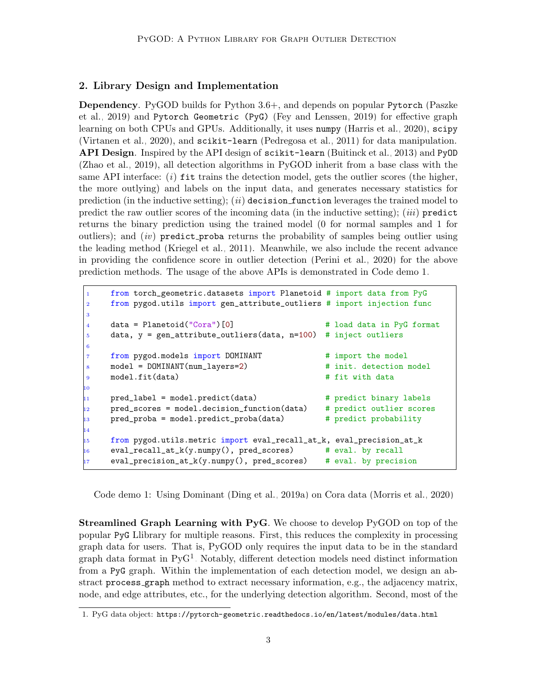## 2. Library Design and Implementation

Dependency. PyGOD builds for Python 3.6+, and depends on popular Pytorch [\(Paszke](#page-6-9) [et al., 2019\)](#page-6-9) and Pytorch Geometric (PyG) [\(Fey and Lenssen, 2019\)](#page-5-8) for effective graph learning on both CPUs and GPUs. Additionally, it uses numpy [\(Harris et al., 2020\)](#page-5-9), scipy [\(Virtanen et al., 2020\)](#page-6-10), and scikit-learn [\(Pedregosa et al., 2011\)](#page-6-11) for data manipulation. API Design. Inspired by the API design of scikit-learn [\(Buitinck et al., 2013\)](#page-4-12) and PyOD [\(Zhao et al., 2019\)](#page-6-2), all detection algorithms in PyGOD inherit from a base class with the same API interface:  $(i)$  fit trains the detection model, gets the outlier scores (the higher, the more outlying) and labels on the input data, and generates necessary statistics for prediction (in the inductive setting); (ii) decision function leverages the trained model to predict the raw outlier scores of the incoming data (in the inductive setting);  $(iii)$  predict returns the binary prediction using the trained model (0 for normal samples and 1 for outliers); and  $(iv)$  predict proba returns the probability of samples being outlier using the leading method [\(Kriegel et al., 2011\)](#page-5-10). Meanwhile, we also include the recent advance in providing the confidence score in outlier detection [\(Perini et al., 2020\)](#page-6-12) for the above prediction methods. The usage of the above APIs is demonstrated in Code demo [1.](#page-2-0)

```
1 from torch_geometric.datasets import Planetoid # import data from PyG
2 from pygod.utils import gen_attribute_outliers # import injection func
3
4 data = Planetoid("Cora")[0] # load data in PyG format
5 data, y = gen_attribute_outliers(data, n=100) # inject outliers
6
7 from pygod.models import DOMINANT # import the model
8 model = DOMINANT(num_layers=2) # init. detection model
9 model.fit(data) \qquad # fit with data
10
11 pred_label = model.predict(data) # predict binary labels
    12 pred_scores = model.decision_function(data) # predict outlier scores
13 pred_proba = model.predict_proba(data) # predict probability
14
15 from pygod.utils.metric import eval_recall_at_k, eval_precision_at_k
16 eval_recall_at_k(y.numpy(), pred_scores) # eval. by recall
    eval\_precision_at_k(y.numpy(), pred_scores) # eval. by precision
```
Code demo 1: Using Dominant [\(Ding et al., 2019a\)](#page-4-8) on Cora data [\(Morris et al., 2020\)](#page-6-13)

Streamlined Graph Learning with PyG. We choose to develop PyGOD on top of the popular PyG Llibrary for multiple reasons. First, this reduces the complexity in processing graph data for users. That is, PyGOD only requires the input data to be in the standard graph data format in PyG[1](#page-2-1) . Notably, different detection models need distinct information from a PyG graph. Within the implementation of each detection model, we design an abstract process graph method to extract necessary information, e.g., the adjacency matrix, node, and edge attributes, etc., for the underlying detection algorithm. Second, most of the

<span id="page-2-1"></span><sup>1.</sup> PyG data object: <https://pytorch-geometric.readthedocs.io/en/latest/modules/data.html>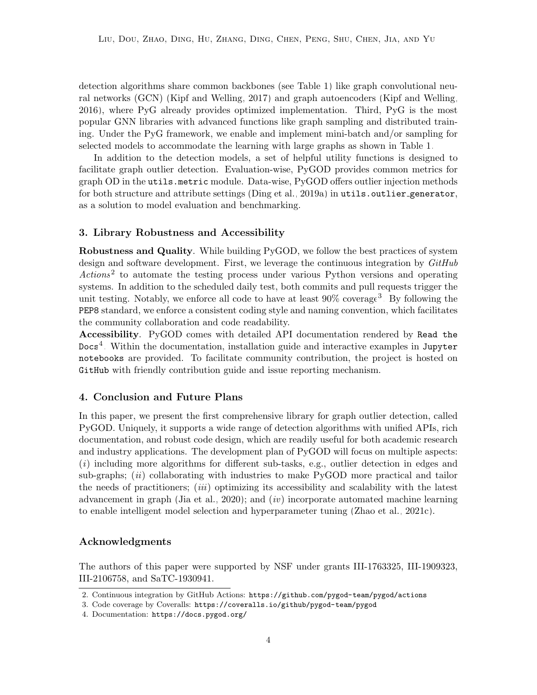detection algorithms share common backbones (see Table [1\)](#page-1-0) like graph convolutional neural networks (GCN) [\(Kipf and Welling, 2017\)](#page-5-11) and graph autoencoders [\(Kipf and Welling,](#page-5-5) [2016\)](#page-5-5), where PyG already provides optimized implementation. Third, PyG is the most popular GNN libraries with advanced functions like graph sampling and distributed training. Under the PyG framework, we enable and implement mini-batch and/or sampling for selected models to accommodate the learning with large graphs as shown in Table [1.](#page-1-0)

In addition to the detection models, a set of helpful utility functions is designed to facilitate graph outlier detection. Evaluation-wise, PyGOD provides common metrics for graph OD in the utils.metric module. Data-wise, PyGOD offers outlier injection methods for both structure and attribute settings [\(Ding et al., 2019a\)](#page-4-8) in utils.outlier\_generator, as a solution to model evaluation and benchmarking.

#### 3. Library Robustness and Accessibility

Robustness and Quality. While building PyGOD, we follow the best practices of system design and software development. First, we leverage the continuous integration by  $GitHub$ Actions<sup>[2](#page-3-0)</sup> to automate the testing process under various Python versions and operating systems. In addition to the scheduled daily test, both commits and pull requests trigger the unit testing. Notably, we enforce all code to have at least  $90\%$  coverage<sup>[3](#page-3-1)</sup>. By following the PEP8 standard, we enforce a consistent coding style and naming convention, which facilitates the community collaboration and code readability.

Accessibility. PyGOD comes with detailed API documentation rendered by Read the  $\texttt{Docs}^4$  $\texttt{Docs}^4$ . Within the documentation, installation guide and interactive examples in Jupyter notebooks are provided. To facilitate community contribution, the project is hosted on GitHub with friendly contribution guide and issue reporting mechanism.

### 4. Conclusion and Future Plans

In this paper, we present the first comprehensive library for graph outlier detection, called PyGOD. Uniquely, it supports a wide range of detection algorithms with unified APIs, rich documentation, and robust code design, which are readily useful for both academic research and industry applications. The development plan of PyGOD will focus on multiple aspects: (i) including more algorithms for different sub-tasks, e.g., outlier detection in edges and sub-graphs;  $(ii)$  collaborating with industries to make PyGOD more practical and tailor the needs of practitioners; *(iii)* optimizing its accessibility and scalability with the latest advancement in graph [\(Jia et al., 2020\)](#page-5-12); and  $(iv)$  incorporate automated machine learning to enable intelligent model selection and hyperparameter tuning [\(Zhao et al., 2021c\)](#page-7-1).

#### Acknowledgments

The authors of this paper were supported by NSF under grants III-1763325, III-1909323, III-2106758, and SaTC-1930941.

<span id="page-3-0"></span><sup>2.</sup> Continuous integration by GitHub Actions: <https://github.com/pygod-team/pygod/actions>

<span id="page-3-1"></span><sup>3.</sup> Code coverage by Coveralls: <https://coveralls.io/github/pygod-team/pygod>

<span id="page-3-2"></span><sup>4.</sup> Documentation: <https://docs.pygod.org/>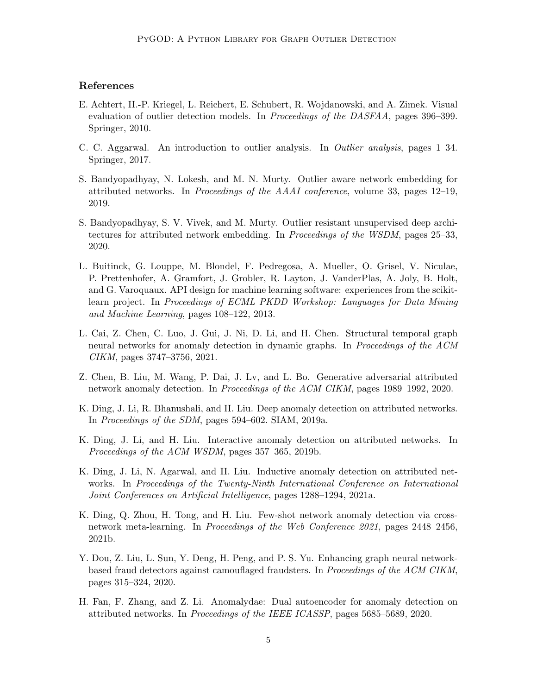# References

- <span id="page-4-6"></span>E. Achtert, H.-P. Kriegel, L. Reichert, E. Schubert, R. Wojdanowski, and A. Zimek. Visual evaluation of outlier detection models. In *Proceedings of the DASFAA*, pages 396–399. Springer, 2010.
- <span id="page-4-0"></span>C. C. Aggarwal. An introduction to outlier analysis. In Outlier analysis, pages 1–34. Springer, 2017.
- <span id="page-4-7"></span>S. Bandyopadhyay, N. Lokesh, and M. N. Murty. Outlier aware network embedding for attributed networks. In Proceedings of the AAAI conference, volume 33, pages 12–19, 2019.
- <span id="page-4-9"></span>S. Bandyopadhyay, S. V. Vivek, and M. Murty. Outlier resistant unsupervised deep architectures for attributed network embedding. In Proceedings of the WSDM, pages 25–33, 2020.
- <span id="page-4-12"></span>L. Buitinck, G. Louppe, M. Blondel, F. Pedregosa, A. Mueller, O. Grisel, V. Niculae, P. Prettenhofer, A. Gramfort, J. Grobler, R. Layton, J. VanderPlas, A. Joly, B. Holt, and G. Varoquaux. API design for machine learning software: experiences from the scikitlearn project. In Proceedings of ECML PKDD Workshop: Languages for Data Mining and Machine Learning, pages 108–122, 2013.
- <span id="page-4-5"></span>L. Cai, Z. Chen, C. Luo, J. Gui, J. Ni, D. Li, and H. Chen. Structural temporal graph neural networks for anomaly detection in dynamic graphs. In Proceedings of the ACM CIKM, pages 3747–3756, 2021.
- <span id="page-4-11"></span>Z. Chen, B. Liu, M. Wang, P. Dai, J. Lv, and L. Bo. Generative adversarial attributed network anomaly detection. In Proceedings of the ACM CIKM, pages 1989–1992, 2020.
- <span id="page-4-8"></span>K. Ding, J. Li, R. Bhanushali, and H. Liu. Deep anomaly detection on attributed networks. In Proceedings of the SDM, pages 594–602. SIAM, 2019a.
- <span id="page-4-2"></span>K. Ding, J. Li, and H. Liu. Interactive anomaly detection on attributed networks. In Proceedings of the ACM WSDM, pages 357–365, 2019b.
- <span id="page-4-3"></span>K. Ding, J. Li, N. Agarwal, and H. Liu. Inductive anomaly detection on attributed networks. In Proceedings of the Twenty-Ninth International Conference on International Joint Conferences on Artificial Intelligence, pages 1288–1294, 2021a.
- <span id="page-4-1"></span>K. Ding, Q. Zhou, H. Tong, and H. Liu. Few-shot network anomaly detection via crossnetwork meta-learning. In Proceedings of the Web Conference 2021, pages 2448–2456, 2021b.
- <span id="page-4-4"></span>Y. Dou, Z. Liu, L. Sun, Y. Deng, H. Peng, and P. S. Yu. Enhancing graph neural networkbased fraud detectors against camouflaged fraudsters. In Proceedings of the ACM CIKM, pages 315–324, 2020.
- <span id="page-4-10"></span>H. Fan, F. Zhang, and Z. Li. Anomalydae: Dual autoencoder for anomaly detection on attributed networks. In Proceedings of the IEEE ICASSP, pages 5685–5689, 2020.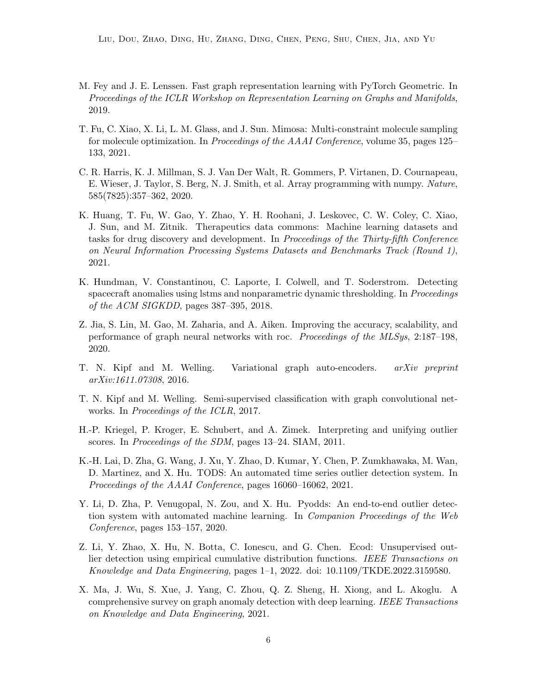- <span id="page-5-8"></span>M. Fey and J. E. Lenssen. Fast graph representation learning with PyTorch Geometric. In Proceedings of the ICLR Workshop on Representation Learning on Graphs and Manifolds, 2019.
- <span id="page-5-2"></span>T. Fu, C. Xiao, X. Li, L. M. Glass, and J. Sun. Mimosa: Multi-constraint molecule sampling for molecule optimization. In Proceedings of the AAAI Conference, volume 35, pages 125– 133, 2021.
- <span id="page-5-9"></span>C. R. Harris, K. J. Millman, S. J. Van Der Walt, R. Gommers, P. Virtanen, D. Cournapeau, E. Wieser, J. Taylor, S. Berg, N. J. Smith, et al. Array programming with numpy. Nature, 585(7825):357–362, 2020.
- <span id="page-5-1"></span>K. Huang, T. Fu, W. Gao, Y. Zhao, Y. H. Roohani, J. Leskovec, C. W. Coley, C. Xiao, J. Sun, and M. Zitnik. Therapeutics data commons: Machine learning datasets and tasks for drug discovery and development. In Proceedings of the Thirty-fifth Conference on Neural Information Processing Systems Datasets and Benchmarks Track (Round 1), 2021.
- <span id="page-5-7"></span>K. Hundman, V. Constantinou, C. Laporte, I. Colwell, and T. Soderstrom. Detecting spacecraft anomalies using lstms and nonparametric dynamic thresholding. In *Proceedings* of the ACM SIGKDD, pages 387–395, 2018.
- <span id="page-5-12"></span>Z. Jia, S. Lin, M. Gao, M. Zaharia, and A. Aiken. Improving the accuracy, scalability, and performance of graph neural networks with roc. Proceedings of the MLSys, 2:187–198, 2020.
- <span id="page-5-5"></span>T. N. Kipf and M. Welling. Variational graph auto-encoders. arXiv preprint arXiv:1611.07308, 2016.
- <span id="page-5-11"></span>T. N. Kipf and M. Welling. Semi-supervised classification with graph convolutional networks. In Proceedings of the ICLR, 2017.
- <span id="page-5-10"></span>H.-P. Kriegel, P. Kroger, E. Schubert, and A. Zimek. Interpreting and unifying outlier scores. In Proceedings of the SDM, pages 13–24. SIAM, 2011.
- <span id="page-5-6"></span>K.-H. Lai, D. Zha, G. Wang, J. Xu, Y. Zhao, D. Kumar, Y. Chen, P. Zumkhawaka, M. Wan, D. Martinez, and X. Hu. TODS: An automated time series outlier detection system. In Proceedings of the AAAI Conference, pages 16060–16062, 2021.
- <span id="page-5-4"></span>Y. Li, D. Zha, P. Venugopal, N. Zou, and X. Hu. Pyodds: An end-to-end outlier detection system with automated machine learning. In Companion Proceedings of the Web Conference, pages 153–157, 2020.
- <span id="page-5-0"></span>Z. Li, Y. Zhao, X. Hu, N. Botta, C. Ionescu, and G. Chen. Ecod: Unsupervised outlier detection using empirical cumulative distribution functions. IEEE Transactions on Knowledge and Data Engineering, pages 1–1, 2022. doi: 10.1109/TKDE.2022.3159580.
- <span id="page-5-3"></span>X. Ma, J. Wu, S. Xue, J. Yang, C. Zhou, Q. Z. Sheng, H. Xiong, and L. Akoglu. A comprehensive survey on graph anomaly detection with deep learning. IEEE Transactions on Knowledge and Data Engineering, 2021.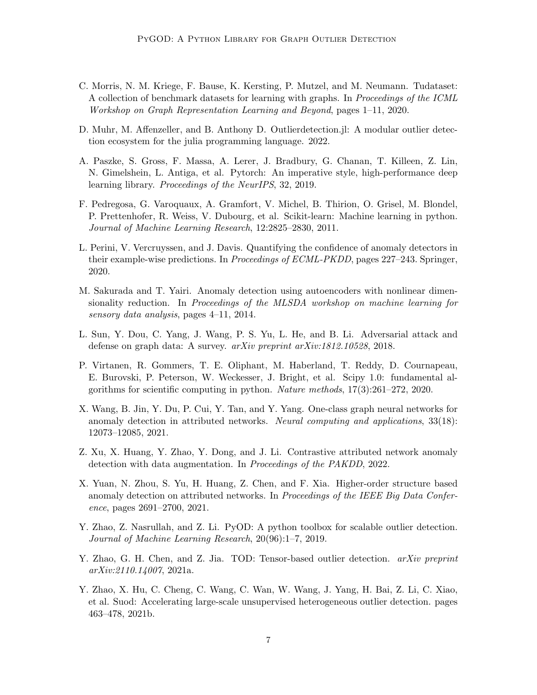- <span id="page-6-13"></span>C. Morris, N. M. Kriege, F. Bause, K. Kersting, P. Mutzel, and M. Neumann. Tudataset: A collection of benchmark datasets for learning with graphs. In Proceedings of the ICML Workshop on Graph Representation Learning and Beyond, pages 1–11, 2020.
- <span id="page-6-7"></span>D. Muhr, M. Affenzeller, and B. Anthony D. Outlierdetection.jl: A modular outlier detection ecosystem for the julia programming language. 2022.
- <span id="page-6-9"></span>A. Paszke, S. Gross, F. Massa, A. Lerer, J. Bradbury, G. Chanan, T. Killeen, Z. Lin, N. Gimelshein, L. Antiga, et al. Pytorch: An imperative style, high-performance deep learning library. Proceedings of the NeurIPS, 32, 2019.
- <span id="page-6-11"></span>F. Pedregosa, G. Varoquaux, A. Gramfort, V. Michel, B. Thirion, O. Grisel, M. Blondel, P. Prettenhofer, R. Weiss, V. Dubourg, et al. Scikit-learn: Machine learning in python. Journal of Machine Learning Research, 12:2825–2830, 2011.
- <span id="page-6-12"></span>L. Perini, V. Vercruyssen, and J. Davis. Quantifying the confidence of anomaly detectors in their example-wise predictions. In Proceedings of ECML-PKDD, pages 227–243. Springer, 2020.
- <span id="page-6-4"></span>M. Sakurada and T. Yairi. Anomaly detection using autoencoders with nonlinear dimensionality reduction. In Proceedings of the MLSDA workshop on machine learning for sensory data analysis, pages 4–11, 2014.
- <span id="page-6-1"></span>L. Sun, Y. Dou, C. Yang, J. Wang, P. S. Yu, L. He, and B. Li. Adversarial attack and defense on graph data: A survey. arXiv preprint arXiv:1812.10528, 2018.
- <span id="page-6-10"></span>P. Virtanen, R. Gommers, T. E. Oliphant, M. Haberland, T. Reddy, D. Cournapeau, E. Burovski, P. Peterson, W. Weckesser, J. Bright, et al. Scipy 1.0: fundamental algorithms for scientific computing in python. Nature methods, 17(3):261–272, 2020.
- <span id="page-6-5"></span>X. Wang, B. Jin, Y. Du, P. Cui, Y. Tan, and Y. Yang. One-class graph neural networks for anomaly detection in attributed networks. Neural computing and applications, 33(18): 12073–12085, 2021.
- <span id="page-6-0"></span>Z. Xu, X. Huang, Y. Zhao, Y. Dong, and J. Li. Contrastive attributed network anomaly detection with data augmentation. In Proceedings of the PAKDD, 2022.
- <span id="page-6-6"></span>X. Yuan, N. Zhou, S. Yu, H. Huang, Z. Chen, and F. Xia. Higher-order structure based anomaly detection on attributed networks. In *Proceedings of the IEEE Big Data Confer*ence, pages 2691–2700, 2021.
- <span id="page-6-2"></span>Y. Zhao, Z. Nasrullah, and Z. Li. PyOD: A python toolbox for scalable outlier detection. Journal of Machine Learning Research, 20(96):1–7, 2019.
- <span id="page-6-8"></span>Y. Zhao, G. H. Chen, and Z. Jia. TOD: Tensor-based outlier detection. *arXiv preprint* arXiv:2110.14007, 2021a.
- <span id="page-6-3"></span>Y. Zhao, X. Hu, C. Cheng, C. Wang, C. Wan, W. Wang, J. Yang, H. Bai, Z. Li, C. Xiao, et al. Suod: Accelerating large-scale unsupervised heterogeneous outlier detection. pages 463–478, 2021b.